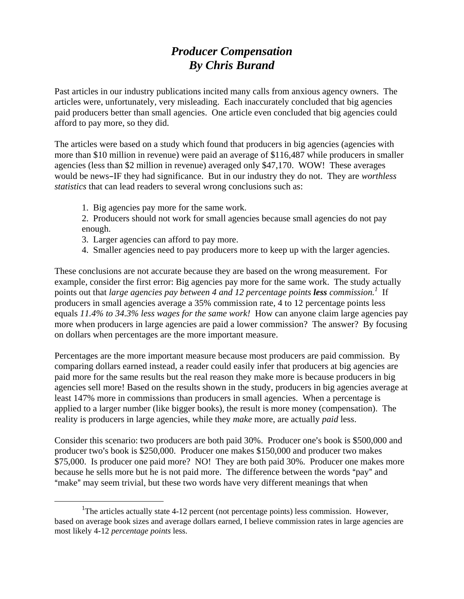## *Producer Compensation By Chris Burand*

Past articles in our industry publications incited many calls from anxious agency owners. The articles were, unfortunately, very misleading. Each inaccurately concluded that big agencies paid producers better than small agencies. One article even concluded that big agencies could afford to pay more, so they did.

The articles were based on a study which found that producers in big agencies (agencies with more than \$10 million in revenue) were paid an average of \$116,487 while producers in smaller agencies (less than \$2 million in revenue) averaged only \$47,170. WOW! These averages would be news-IF they had significance. But in our industry they do not. They are *worthless statistics* that can lead readers to several wrong conclusions such as:

1. Big agencies pay more for the same work.

2. Producers should not work for small agencies because small agencies do not pay enough.

- 3. Larger agencies can afford to pay more.
- 4. Smaller agencies need to pay producers more to keep up with the larger agencies.

These conclusions are not accurate because they are based on the wrong measurement. For example, consider the first error: Big agencies pay more for the same work. The study actually points out that *large agencies pay between 4 and [1](#page-0-0)2 percentage points less commission.<sup>1</sup> If* producers in small agencies average a 35% commission rate, 4 to 12 percentage points less equals *11.4% to 34.3% less wages for the same work!* How can anyone claim large agencies pay more when producers in large agencies are paid a lower commission? The answer? By focusing on dollars when percentages are the more important measure.

Percentages are the more important measure because most producers are paid commission. By comparing dollars earned instead, a reader could easily infer that producers at big agencies are paid more for the same results but the real reason they make more is because producers in big agencies sell more! Based on the results shown in the study, producers in big agencies average at least 147% more in commissions than producers in small agencies. When a percentage is applied to a larger number (like bigger books), the result is more money (compensation). The reality is producers in large agencies, while they *make* more, are actually *paid* less.

Consider this scenario: two producers are both paid 30%. Producer one's book is \$500,000 and producer two's book is \$250,000. Producer one makes \$150,000 and producer two makes \$75,000. Is producer one paid more? NO! They are both paid 30%. Producer one makes more because he sells more but he is not paid more. The difference between the words "pay" and "make" may seem trivial, but these two words have very different meanings that when

<span id="page-0-0"></span> $\frac{1}{1}$ <sup>1</sup>The articles actually state  $4-12$  percent (not percentage points) less commission. However, based on average book sizes and average dollars earned, I believe commission rates in large agencies are most likely 4-12 *percentage points* less.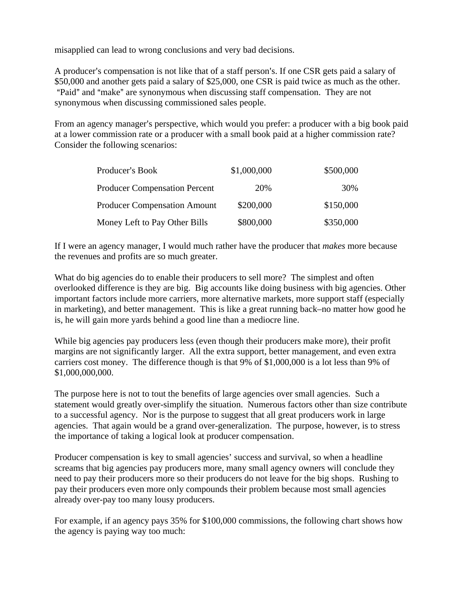misapplied can lead to wrong conclusions and very bad decisions.

A producer's compensation is not like that of a staff person's. If one CSR gets paid a salary of \$50,000 and another gets paid a salary of \$25,000, one CSR is paid twice as much as the other. "Paid" and "make" are synonymous when discussing staff compensation. They are not synonymous when discussing commissioned sales people.

From an agency manager's perspective, which would you prefer: a producer with a big book paid at a lower commission rate or a producer with a small book paid at a higher commission rate? Consider the following scenarios:

| Producer's Book                      | \$1,000,000 | \$500,000 |
|--------------------------------------|-------------|-----------|
| <b>Producer Compensation Percent</b> | 20%         | 30%       |
| <b>Producer Compensation Amount</b>  | \$200,000   | \$150,000 |
| Money Left to Pay Other Bills        | \$800,000   | \$350,000 |

If I were an agency manager, I would much rather have the producer that *makes* more because the revenues and profits are so much greater.

What do big agencies do to enable their producers to sell more? The simplest and often overlooked difference is they are big. Big accounts like doing business with big agencies. Other important factors include more carriers, more alternative markets, more support staff (especially in marketing), and better management. This is like a great running back–no matter how good he is, he will gain more yards behind a good line than a mediocre line.

While big agencies pay producers less (even though their producers make more), their profit margins are not significantly larger. All the extra support, better management, and even extra carriers cost money. The difference though is that 9% of \$1,000,000 is a lot less than 9% of \$1,000,000,000.

The purpose here is not to tout the benefits of large agencies over small agencies. Such a statement would greatly over-simplify the situation. Numerous factors other than size contribute to a successful agency. Nor is the purpose to suggest that all great producers work in large agencies. That again would be a grand over-generalization. The purpose, however, is to stress the importance of taking a logical look at producer compensation.

Producer compensation is key to small agencies' success and survival, so when a headline screams that big agencies pay producers more, many small agency owners will conclude they need to pay their producers more so their producers do not leave for the big shops. Rushing to pay their producers even more only compounds their problem because most small agencies already over-pay too many lousy producers.

For example, if an agency pays 35% for \$100,000 commissions, the following chart shows how the agency is paying way too much: